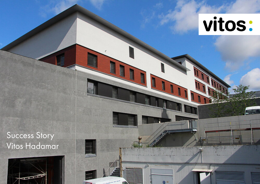

**LEARS** 

monument

 $\odot$  =

**DATE** 

**FREE** 

# Success Story Vitos Hadamar

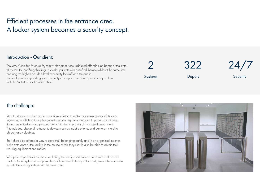## Efficient processes in the entrance area. A locker system becomes a security concept.

#### Introduction - Our client:

The Vitos Clinic for Forensic Psychiatry Hadamar treats addicted offenders on behalf of the state of Hesse. Its "Maßregelvollzug" provides patients with qualified therapy while at the same time ensuring the highest possible level of security for staff and the public.

The facility's correspondingly strict security concepts were developed in cooperation with the State Criminal Police Office.

2 Systems

**Depots** 

322



#### **Security**

#### The challenge:

Vitos Hadamar was looking for a suitable solution to make the access control of its employees more efficient. Compliance with security regulations was an important factor here: It is not permitted to bring personal items into the inner area of the closed department. This includes, above all, electronic devices such as mobile phones and cameras, metallic objects and valuables.

Staff should be offered a way to store their belongings safely and in an organised manner in the anteroom of the facility. In the course of this, they should also be able to obtain their working equipment and radios.

Vitos placed particular emphasis on linking the receipt and issue of items with staff access control. As many barriers as possible should ensure that only authorised persons have access to both the locking system and the work area.

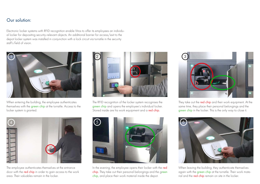### Our solution:

Electronic locker systems with RFID recognition enable Vitos to offer its employees an individual locker for depositing security-relevant objects. An additional barrier for access/exit to the depot locker system was installed in conjunction with a lock circuit via turnstile in the security staff's field of vision.



When entering the building, the employee authenticates themselves with the green chip at the turnstile. Access to the locker system is granted.



The employee authenticates themselves at the entrance door with the red chip in order to gain access to the work area. Their valuables remain in the locker.



The RFID recognition of the locker system recognises the green chip and opens the employee's individual locker. Stored inside are his work equipment and a red chip.



In the evening, the employee opens their locker with the red chip. They take out their personal belongings and the green chip, and place their work material inside the depot.



They take out the red chip and their work equipment. At the same time, they place their personal belongings and the green chip in the locker. This is the only way to close it.



When leaving the building, they authenticate themselves again with the green chip at the turnstile. Their work material and the **red chip** remain on site in the locker.